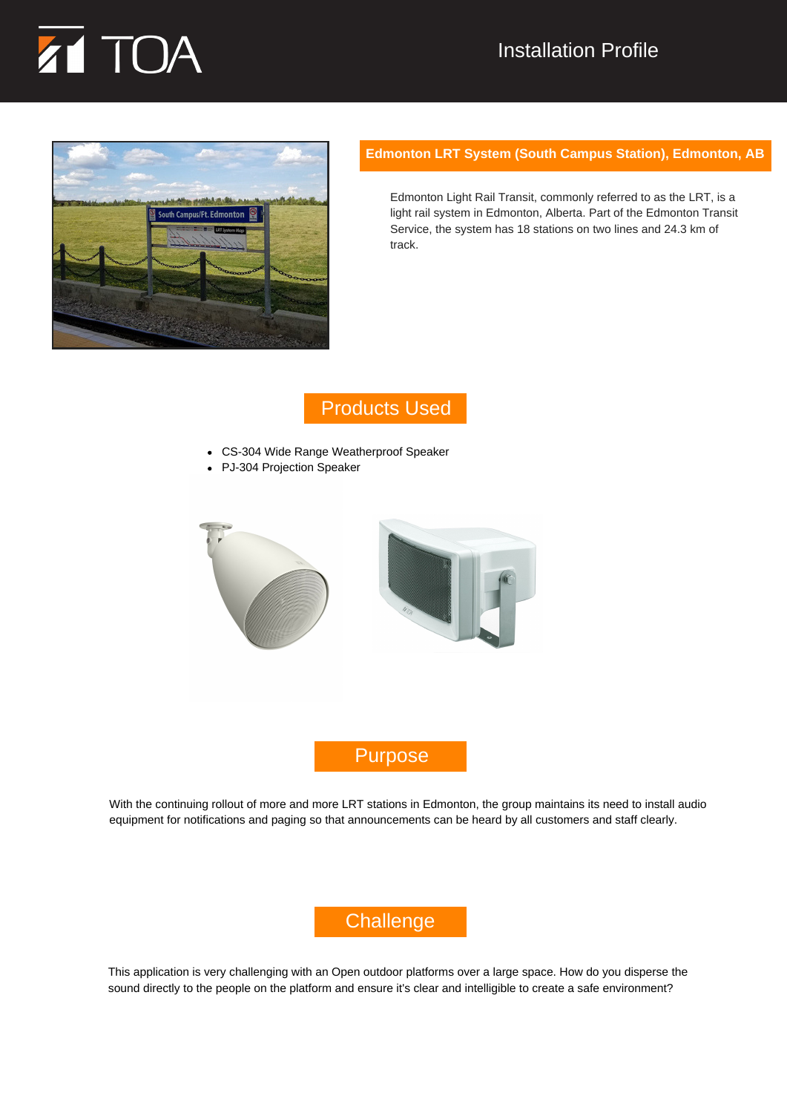# TOA



#### **Edmonton LRT System (South Campus Station), Edmonton, AB**

Edmonton Light Rail Transit, commonly referred to as the LRT, is a light rail system in Edmonton, Alberta. Part of the Edmonton Transit Service, the system has 18 stations on two lines and 24.3 km of track.

## Products Used

- CS-304 Wide Range Weatherproof Speaker
- PJ-304 Projection Speaker



## Purpose

With the continuing rollout of more and more LRT stations in Edmonton, the group maintains its need to install audio equipment for notifications and paging so that announcements can be heard by all customers and staff clearly.

# **Challenge**

This application is very challenging with an Open outdoor platforms over a large space. How do you disperse the sound directly to the people on the platform and ensure it's clear and intelligible to create a safe environment?